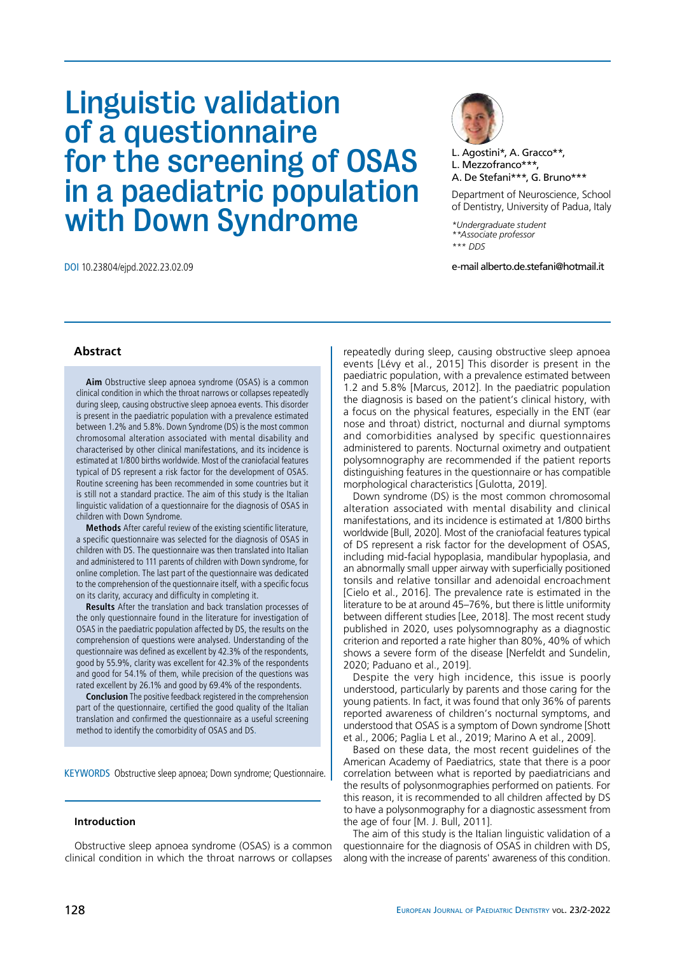# Linguistic validation of a questionnaire for the screening of OSAS in a paediatric population with Down Syndrome



L. Agostini\*, A. Gracco\*\*, L. Mezzofranco\*\*\*, A. De Stefani\*\*\*, G. Bruno\*\*\*

Department of Neuroscience, School of Dentistry, University of Padua, Italy

*\*Undergraduate student \*\*Associate professor \*\*\* DDS*

DOI 10.23804/ejpd.2022.23.02.09 e-mail alberto.de.stefani@hotmail.it

# **Abstract**

**Aim** Obstructive sleep apnoea syndrome (OSAS) is a common clinical condition in which the throat narrows or collapses repeatedly during sleep, causing obstructive sleep apnoea events. This disorder is present in the paediatric population with a prevalence estimated between 1.2% and 5.8%. Down Syndrome (DS) is the most common chromosomal alteration associated with mental disability and characterised by other clinical manifestations, and its incidence is estimated at 1/800 births worldwide. Most of the craniofacial features typical of DS represent a risk factor for the development of OSAS. Routine screening has been recommended in some countries but it is still not a standard practice. The aim of this study is the Italian linguistic validation of a questionnaire for the diagnosis of OSAS in children with Down Syndrome.

**Methods** After careful review of the existing scientific literature, a specific questionnaire was selected for the diagnosis of OSAS in children with DS. The questionnaire was then translated into Italian and administered to 111 parents of children with Down syndrome, for online completion. The last part of the questionnaire was dedicated to the comprehension of the questionnaire itself, with a specific focus on its clarity, accuracy and difficulty in completing it.

**Results** After the translation and back translation processes of the only questionnaire found in the literature for investigation of OSAS in the paediatric population affected by DS, the results on the comprehension of questions were analysed. Understanding of the questionnaire was defined as excellent by 42.3% of the respondents, good by 55.9%, clarity was excellent for 42.3% of the respondents and good for 54.1% of them, while precision of the questions was rated excellent by 26.1% and good by 69.4% of the respondents.

**Conclusion** The positive feedback registered in the comprehension part of the questionnaire, certified the good quality of the Italian translation and confirmed the questionnaire as a useful screening method to identify the comorbidity of OSAS and DS.

KEYWORDS Obstructive sleep apnoea; Down syndrome; Questionnaire.

## **Introduction**

Obstructive sleep apnoea syndrome (OSAS) is a common clinical condition in which the throat narrows or collapses repeatedly during sleep, causing obstructive sleep apnoea events [Lévy et al., 2015] This disorder is present in the paediatric population, with a prevalence estimated between 1.2 and 5.8% [Marcus, 2012]. In the paediatric population the diagnosis is based on the patient's clinical history, with a focus on the physical features, especially in the ENT (ear nose and throat) district, nocturnal and diurnal symptoms and comorbidities analysed by specific questionnaires administered to parents. Nocturnal oximetry and outpatient polysomnography are recommended if the patient reports distinguishing features in the questionnaire or has compatible morphological characteristics [Gulotta, 2019].

Down syndrome (DS) is the most common chromosomal alteration associated with mental disability and clinical manifestations, and its incidence is estimated at 1/800 births worldwide [Bull, 2020]. Most of the craniofacial features typical of DS represent a risk factor for the development of OSAS, including mid-facial hypoplasia, mandibular hypoplasia, and an abnormally small upper airway with superficially positioned tonsils and relative tonsillar and adenoidal encroachment [Cielo et al., 2016]. The prevalence rate is estimated in the literature to be at around 45–76%, but there is little uniformity between different studies [Lee, 2018]. The most recent study published in 2020, uses polysomnography as a diagnostic criterion and reported a rate higher than 80%, 40% of which shows a severe form of the disease [Nerfeldt and Sundelin, 2020; Paduano et al., 2019].

Despite the very high incidence, this issue is poorly understood, particularly by parents and those caring for the young patients. In fact, it was found that only 36% of parents reported awareness of children's nocturnal symptoms, and understood that OSAS is a symptom of Down syndrome [Shott et al., 2006; Paglia L et al., 2019; Marino A et al., 2009].

Based on these data, the most recent guidelines of the American Academy of Paediatrics, state that there is a poor correlation between what is reported by paediatricians and the results of polysonmographies performed on patients. For this reason, it is recommended to all children affected by DS to have a polysonmography for a diagnostic assessment from the age of four [M. J. Bull, 2011].

The aim of this study is the Italian linguistic validation of a questionnaire for the diagnosis of OSAS in children with DS, along with the increase of parents' awareness of this condition.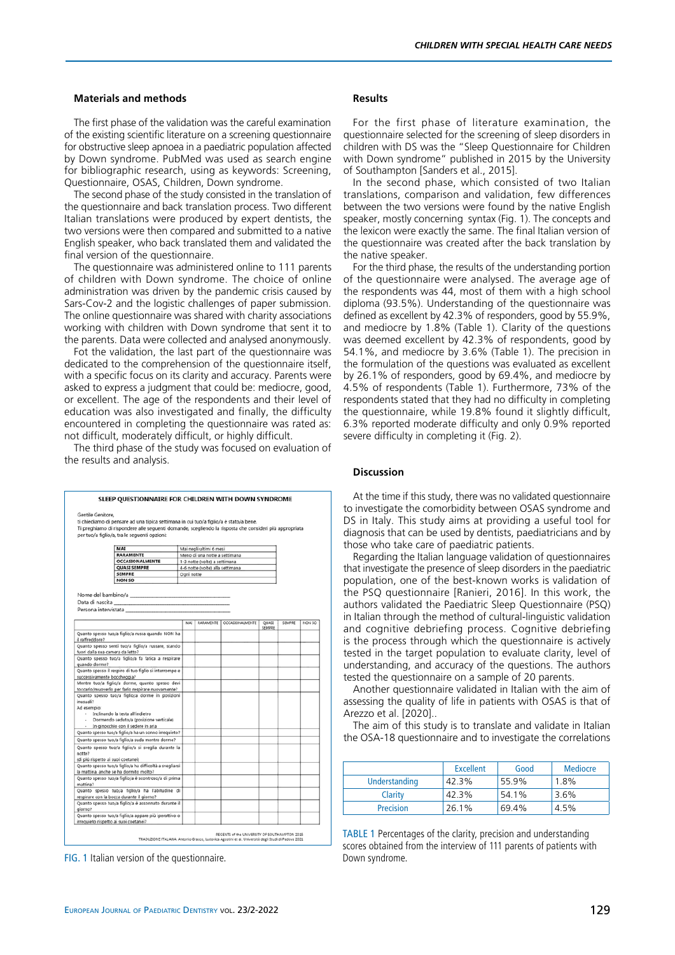### **Materials and methods**

The first phase of the validation was the careful examination of the existing scientific literature on a screening questionnaire for obstructive sleep apnoea in a paediatric population affected by Down syndrome. PubMed was used as search engine for bibliographic research, using as keywords: Screening, Questionnaire, OSAS, Children, Down syndrome.

The second phase of the study consisted in the translation of the questionnaire and back translation process. Two different Italian translations were produced by expert dentists, the two versions were then compared and submitted to a native English speaker, who back translated them and validated the final version of the questionnaire.

The questionnaire was administered online to 111 parents of children with Down syndrome. The choice of online administration was driven by the pandemic crisis caused by Sars-Cov-2 and the logistic challenges of paper submission. The online questionnaire was shared with charity associations working with children with Down syndrome that sent it to the parents. Data were collected and analysed anonymously.

Fot the validation, the last part of the questionnaire was dedicated to the comprehension of the questionnaire itself, with a specific focus on its clarity and accuracy. Parents were asked to express a judgment that could be: mediocre, good, or excellent. The age of the respondents and their level of education was also investigated and finally, the difficulty encountered in completing the questionnaire was rated as: not difficult, moderately difficult, or highly difficult.

The third phase of the study was focused on evaluation of the results and analysis.



FIG. 1 Italian version of the questionnaire.

### **Results**

For the first phase of literature examination, the questionnaire selected for the screening of sleep disorders in children with DS was the "Sleep Questionnaire for Children with Down syndrome" published in 2015 by the University of Southampton [Sanders et al., 2015].

In the second phase, which consisted of two Italian translations, comparison and validation, few differences between the two versions were found by the native English speaker, mostly concerning syntax (Fig. 1). The concepts and the lexicon were exactly the same. The final Italian version of the questionnaire was created after the back translation by the native speaker.

For the third phase, the results of the understanding portion of the questionnaire were analysed. The average age of the respondents was 44, most of them with a high school diploma (93.5%). Understanding of the questionnaire was defined as excellent by 42.3% of responders, good by 55.9%, and mediocre by 1.8% (Table 1). Clarity of the questions was deemed excellent by 42.3% of respondents, good by 54.1%, and mediocre by 3.6% (Table 1). The precision in the formulation of the questions was evaluated as excellent by 26.1% of responders, good by 69.4%, and mediocre by 4.5% of respondents (Table 1). Furthermore, 73% of the respondents stated that they had no difficulty in completing the questionnaire, while 19.8% found it slightly difficult, 6.3% reported moderate difficulty and only 0.9% reported severe difficulty in completing it (Fig. 2).

#### **Discussion**

At the time if this study, there was no validated questionnaire to investigate the comorbidity between OSAS syndrome and DS in Italy. This study aims at providing a useful tool for diagnosis that can be used by dentists, paediatricians and by those who take care of paediatric patients.

Regarding the Italian language validation of questionnaires that investigate the presence of sleep disorders in the paediatric population, one of the best-known works is validation of the PSQ questionnaire [Ranieri, 2016]. In this work, the authors validated the Paediatric Sleep Questionnaire (PSQ) in Italian through the method of cultural-linguistic validation and cognitive debriefing process. Cognitive debriefing is the process through which the questionnaire is actively tested in the target population to evaluate clarity, level of understanding, and accuracy of the questions. The authors tested the questionnaire on a sample of 20 parents.

Another questionnaire validated in Italian with the aim of assessing the quality of life in patients with OSAS is that of Arezzo et al. [2020]..

The aim of this study is to translate and validate in Italian the OSA-18 questionnaire and to investigate the correlations

|               | <b>Excellent</b> | Good  | <b>Mediocre</b> |
|---------------|------------------|-------|-----------------|
| Understanding | 42.3%            | 55.9% | 1.8%            |
| Clarity       | 42.3%            | 54.1% | 3.6%            |
| Precision     | 26.1%            | 69.4% | 4.5%            |

TABLE 1 Percentages of the clarity, precision and understanding scores obtained from the interview of 111 parents of patients with Down syndrome.